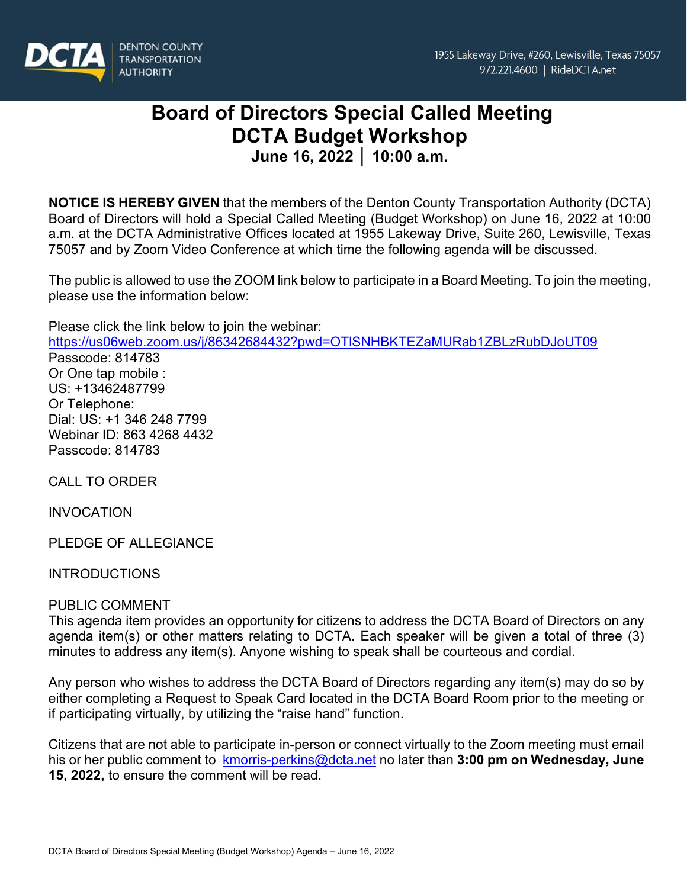

# **Board of Directors Special Called Meeting DCTA Budget Workshop**

**June 16, 2022 │ 10:00 a.m.**

**NOTICE IS HEREBY GIVEN** that the members of the Denton County Transportation Authority (DCTA) Board of Directors will hold a Special Called Meeting (Budget Workshop) on June 16, 2022 at 10:00 a.m. at the DCTA Administrative Offices located at 1955 Lakeway Drive, Suite 260, Lewisville, Texas 75057 and by Zoom Video Conference at which time the following agenda will be discussed.

The public is allowed to use the ZOOM link below to participate in a Board Meeting. To join the meeting, please use the information below:

Please click the link below to join the webinar:

<https://us06web.zoom.us/j/86342684432?pwd=OTlSNHBKTEZaMURab1ZBLzRubDJoUT09> Passcode: 814783 Or One tap mobile : US: +13462487799 Or Telephone: Dial: US: +1 346 248 7799 Webinar ID: 863 4268 4432 Passcode: 814783

CALL TO ORDER

INVOCATION

PLEDGE OF ALLEGIANCE

**INTRODUCTIONS** 

### PUBLIC COMMENT

This agenda item provides an opportunity for citizens to address the DCTA Board of Directors on any agenda item(s) or other matters relating to DCTA. Each speaker will be given a total of three (3) minutes to address any item(s). Anyone wishing to speak shall be courteous and cordial.

Any person who wishes to address the DCTA Board of Directors regarding any item(s) may do so by either completing a Request to Speak Card located in the DCTA Board Room prior to the meeting or if participating virtually, by utilizing the "raise hand" function.

Citizens that are not able to participate in-person or connect virtually to the Zoom meeting must email his or her public comment to [kmorris-perkins@dcta.net](mailto:kmorris-perkins@dcta.net) no later than **3:00 pm on Wednesday, June 15, 2022,** to ensure the comment will be read.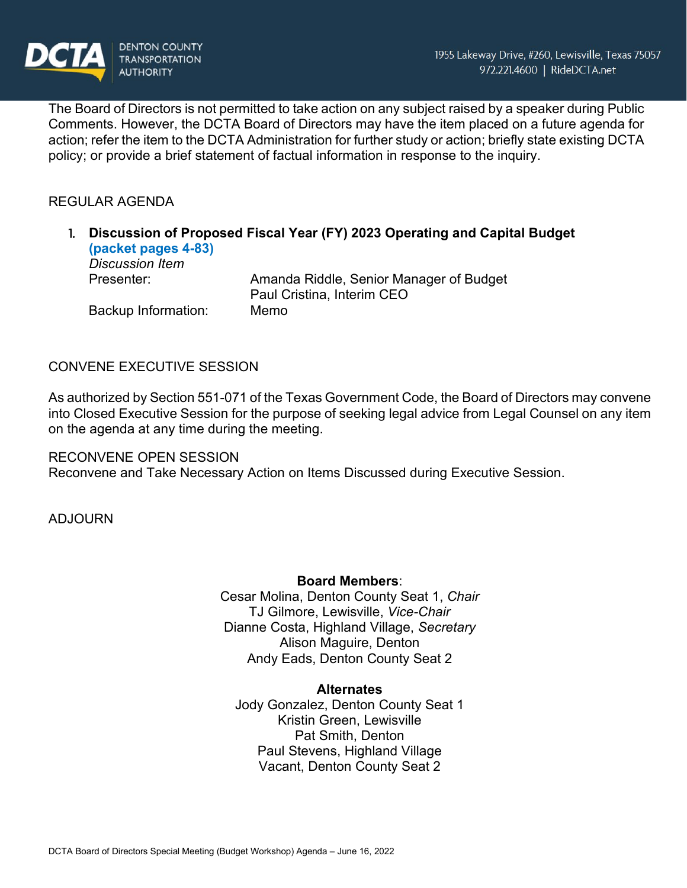

The Board of Directors is not permitted to take action on any subject raised by a speaker during Public Comments. However, the DCTA Board of Directors may have the item placed on a future agenda for action; refer the item to the DCTA Administration for further study or action; briefly state existing DCTA policy; or provide a brief statement of factual information in response to the inquiry.

## REGULAR AGENDA

|  | (packet pages 4-83)<br><b>Discussion Item</b> | Discussion of Proposed Fiscal Year (FY) 2023 Operating and Capital Budget |
|--|-----------------------------------------------|---------------------------------------------------------------------------|
|  | Presenter:                                    | Amanda Riddle, Senior Manager of Budget<br>Paul Cristina, Interim CEO     |
|  | Backup Information:                           | Memo                                                                      |

### CONVENE EXECUTIVE SESSION

As authorized by Section 551-071 of the Texas Government Code, the Board of Directors may convene into Closed Executive Session for the purpose of seeking legal advice from Legal Counsel on any item on the agenda at any time during the meeting.

RECONVENE OPEN SESSION Reconvene and Take Necessary Action on Items Discussed during Executive Session.

ADJOURN

### **Board Members**:

Cesar Molina, Denton County Seat 1, *Chair* TJ Gilmore, Lewisville, *Vice-Chair* Dianne Costa, Highland Village, *Secretary* Alison Maguire, Denton Andy Eads, Denton County Seat 2

#### **Alternates**

Jody Gonzalez, Denton County Seat 1 Kristin Green, Lewisville Pat Smith, Denton Paul Stevens, Highland Village Vacant, Denton County Seat 2